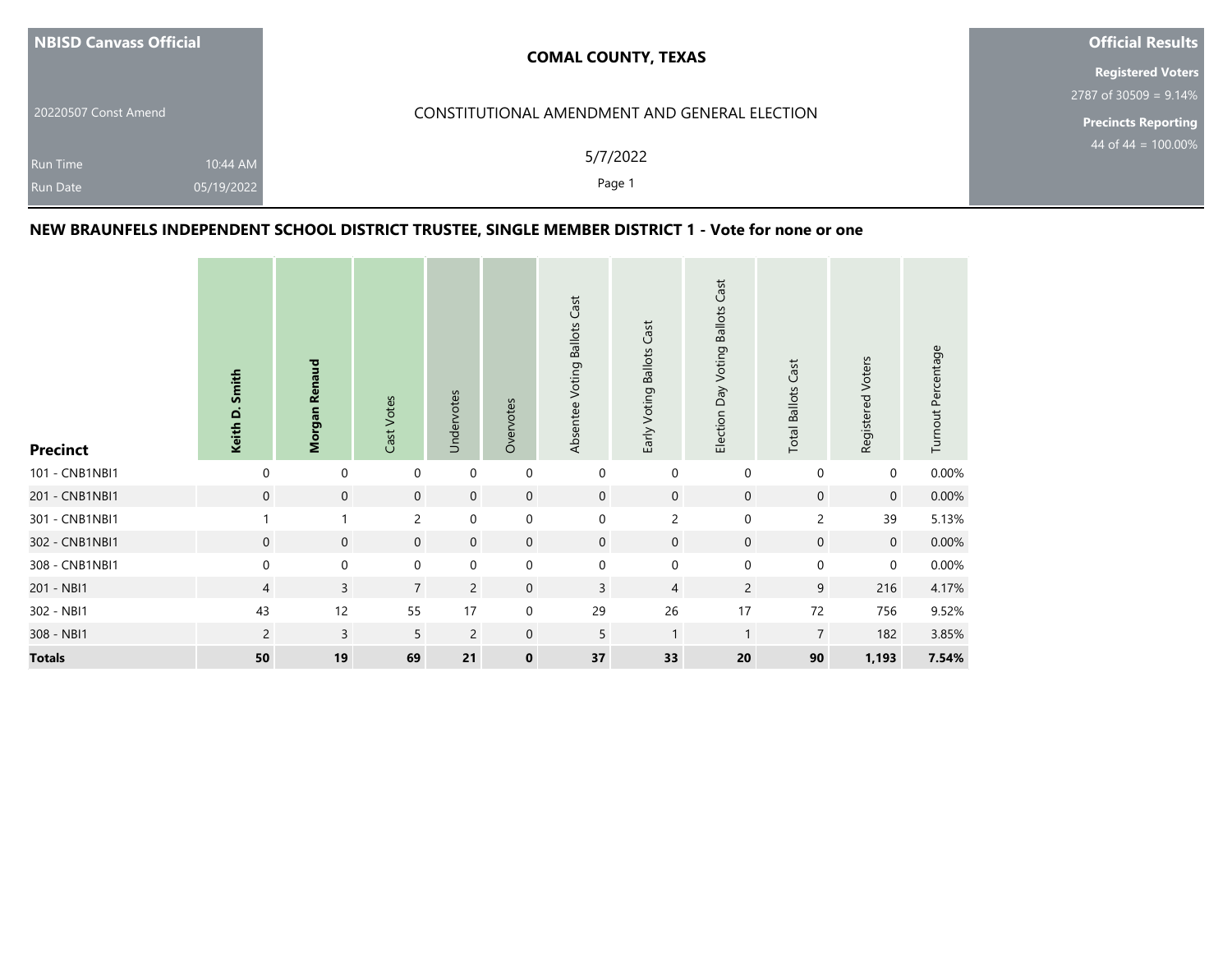| NBISD Canvass Official                                       | <b>COMAL COUNTY, TEXAS</b>                    | <b>Official Results</b>    |  |  |
|--------------------------------------------------------------|-----------------------------------------------|----------------------------|--|--|
|                                                              |                                               | <b>Registered Voters</b>   |  |  |
|                                                              |                                               | $2787$ of 30509 = 9.14%    |  |  |
| 20220507 Const Amend                                         | CONSTITUTIONAL AMENDMENT AND GENERAL ELECTION | <b>Precincts Reporting</b> |  |  |
| 10:44 AM<br><b>Run Time</b><br>05/19/2022<br><b>Run Date</b> | 5/7/2022<br>Page 1                            | 44 of 44 = $100.00\%$      |  |  |

## **NEW BRAUNFELS INDEPENDENT SCHOOL DISTRICT TRUSTEE, SINGLE MEMBER DISTRICT 1 - Vote for none or one**

| <b>Precinct</b> | Keith D. Smith | Morgan Renaud  | Cast Votes     | Undervotes     | Overvotes   | Absentee Voting Ballots Cast | Early Voting Ballots Cast | Election Day Voting Ballots Cast | <b>Total Ballots Cast</b> | Registered Voters | Turnout Percentage |
|-----------------|----------------|----------------|----------------|----------------|-------------|------------------------------|---------------------------|----------------------------------|---------------------------|-------------------|--------------------|
| 101 - CNB1NBI1  | $\mathbf 0$    | $\mathbf 0$    | $\mathbf 0$    | $\mathbf 0$    | $\mathbf 0$ | $\mathbf 0$                  | $\mathbf 0$               | $\mathbf 0$                      | $\mathbf 0$               | $\mathbf 0$       | 0.00%              |
| 201 - CNB1NBI1  | $\mathbf 0$    | $\mathbf 0$    | $\overline{0}$ | $\mathbf 0$    | $\mathbf 0$ | $\mathbf 0$                  | $\mathbf 0$               | $\mathbf 0$                      | $\mathbf 0$               | $\mathbf 0$       | 0.00%              |
| 301 - CNB1NBI1  |                |                | $\overline{2}$ | $\mathbf 0$    | $\mathbf 0$ | $\mathbf 0$                  | $\overline{c}$            | $\mathbf 0$                      | $\overline{c}$            | 39                | 5.13%              |
| 302 - CNB1NBI1  | $\mathbf 0$    | $\mathbf 0$    | $\mathbf{0}$   | $\mathbf{0}$   | $\mathbf 0$ | $\mathbf 0$                  | $\mathbf 0$               | $\mathbf 0$                      | $\mathbf 0$               | $\mathbf{0}$      | 0.00%              |
| 308 - CNB1NBI1  | $\mathbf 0$    | $\mathbf 0$    | 0              | $\mathbf 0$    | $\mathbf 0$ | $\mathbf 0$                  | $\mathbf 0$               | $\mathbf 0$                      | $\mathbf 0$               | $\mathbf 0$       | 0.00%              |
| 201 - NBI1      | $\overline{4}$ | $\mathsf{3}$   | $\overline{7}$ | $\overline{2}$ | $\mathbf 0$ | $\overline{3}$               | $\overline{4}$            | $\overline{c}$                   | 9                         | 216               | 4.17%              |
| 302 - NBI1      | 43             | 12             | 55             | 17             | $\mathbf 0$ | 29                           | 26                        | 17                               | 72                        | 756               | 9.52%              |
| 308 - NBI1      | $\overline{2}$ | $\overline{3}$ | 5              | $\overline{2}$ | $\mathbf 0$ | 5                            | $\mathbf{1}$              | $\mathbf{1}$                     | $\overline{7}$            | 182               | 3.85%              |
| <b>Totals</b>   | 50             | 19             | 69             | 21             | $\mathbf 0$ | 37                           | 33                        | 20                               | 90                        | 1,193             | 7.54%              |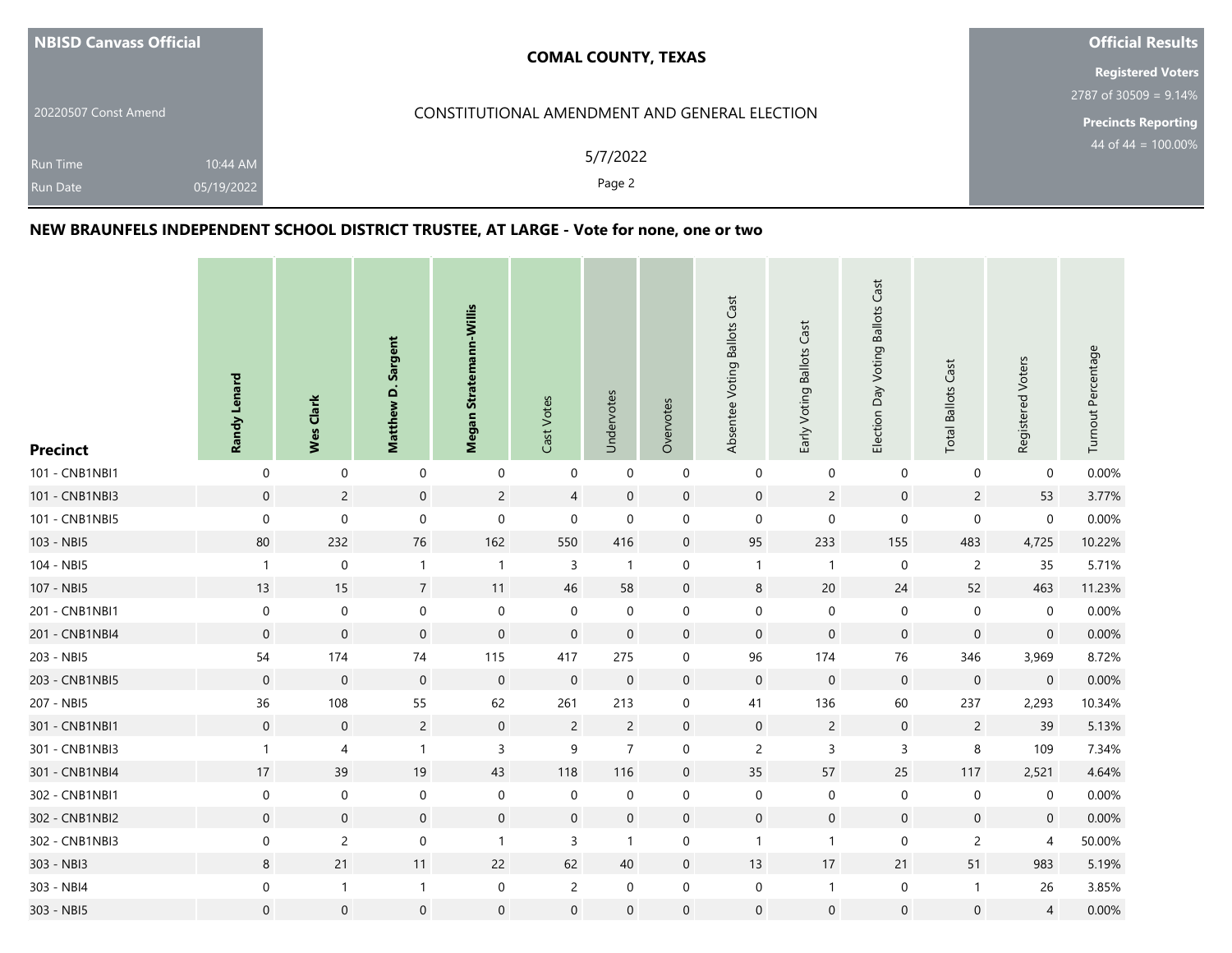| NBISD Canvass Official                                       | <b>COMAL COUNTY, TEXAS</b>                    | <b>Official Results</b>  |
|--------------------------------------------------------------|-----------------------------------------------|--------------------------|
|                                                              |                                               | <b>Registered Voters</b> |
|                                                              |                                               | $2787$ of 30509 = 9.14%  |
| 20220507 Const Amend                                         | CONSTITUTIONAL AMENDMENT AND GENERAL ELECTION | Precincts Reporting      |
| 10:44 AM<br><b>Run Time</b><br>05/19/2022<br><b>Run Date</b> | 5/7/2022<br>Page 2                            | 44 of 44 = $100.00\%$    |

## **NEW BRAUNFELS INDEPENDENT SCHOOL DISTRICT TRUSTEE, AT LARGE - Vote for none, one or two**

| <b>Precinct</b> | Randy Lenard     | Wes Clark        | Matthew D. Sargent  | Megan Stratemann-Willis | Cast Votes       | Undervotes          | Overvotes           | Absentee Voting Ballots Cast | Early Voting Ballots Cast | Election Day Voting Ballots Cast | <b>Total Ballots Cast</b> | Registered Voters | Turnout Percentage |
|-----------------|------------------|------------------|---------------------|-------------------------|------------------|---------------------|---------------------|------------------------------|---------------------------|----------------------------------|---------------------------|-------------------|--------------------|
| 101 - CNB1NBI1  | $\pmb{0}$        | $\mathbf 0$      | $\boldsymbol{0}$    | $\boldsymbol{0}$        | $\pmb{0}$        | $\pmb{0}$           | $\boldsymbol{0}$    | $\mathbf 0$                  | $\boldsymbol{0}$          | 0                                | $\pmb{0}$                 | $\mathbf 0$       | 0.00%              |
| 101 - CNB1NBI3  | $\mathbf 0$      | $\overline{c}$   | $\mathbf 0$         | $\overline{c}$          | $\overline{4}$   | $\mathbf 0$         | $\mathsf{O}\xspace$ | $\mathbf 0$                  | $\overline{c}$            | $\mathbf 0$                      | $\overline{c}$            | 53                | 3.77%              |
| 101 - CNB1NBI5  | $\mathbf 0$      | $\boldsymbol{0}$ | 0                   | $\pmb{0}$               | $\boldsymbol{0}$ | $\mathbf 0$         | $\pmb{0}$           | $\boldsymbol{0}$             | $\boldsymbol{0}$          | $\boldsymbol{0}$                 | $\pmb{0}$                 | $\mathbf 0$       | 0.00%              |
| 103 - NBI5      | 80               | 232              | 76                  | 162                     | 550              | 416                 | $\boldsymbol{0}$    | 95                           | 233                       | 155                              | 483                       | 4,725             | 10.22%             |
| 104 - NBI5      | $\mathbf{1}$     | $\boldsymbol{0}$ | $\mathbf{1}$        | $\mathbf{1}$            | $\mathsf 3$      | $\mathbf{1}$        | $\mathbf 0$         | $\mathbf{1}$                 | $\overline{1}$            | $\boldsymbol{0}$                 | $\overline{c}$            | 35                | 5.71%              |
| 107 - NBI5      | 13               | 15               | $\overline{7}$      | 11                      | 46               | 58                  | $\boldsymbol{0}$    | $\,8\,$                      | 20                        | 24                               | 52                        | 463               | 11.23%             |
| 201 - CNB1NBI1  | $\boldsymbol{0}$ | $\,0\,$          | $\boldsymbol{0}$    | $\mathbf 0$             | $\pmb{0}$        | $\mathbf 0$         | $\boldsymbol{0}$    | $\boldsymbol{0}$             | $\boldsymbol{0}$          | $\pmb{0}$                        | $\pmb{0}$                 | $\mathbf 0$       | 0.00%              |
| 201 - CNB1NBI4  | $\mathbf 0$      | $\mathbf 0$      | $\mathbf 0$         | $\boldsymbol{0}$        | $\mathbf 0$      | $\mathbf 0$         | $\boldsymbol{0}$    | $\mathsf{O}\xspace$          | $\mathbf 0$               | $\mathbf 0$                      | $\mathbf 0$               | $\boldsymbol{0}$  | 0.00%              |
| 203 - NBI5      | 54               | 174              | 74                  | 115                     | 417              | 275                 | $\mathbf 0$         | 96                           | 174                       | 76                               | 346                       | 3,969             | 8.72%              |
| 203 - CNB1NBI5  | $\boldsymbol{0}$ | $\boldsymbol{0}$ | $\mathsf{O}\xspace$ | $\mathsf{O}\xspace$     | $\boldsymbol{0}$ | $\mathsf{O}\xspace$ | $\boldsymbol{0}$    | $\mathbf 0$                  | $\mathbf 0$               | $\mathsf{O}$                     | $\boldsymbol{0}$          | $\boldsymbol{0}$  | 0.00%              |
| 207 - NBI5      | 36               | 108              | 55                  | 62                      | 261              | 213                 | 0                   | 41                           | 136                       | 60                               | 237                       | 2,293             | 10.34%             |
| 301 - CNB1NBI1  | $\boldsymbol{0}$ | $\mathbf 0$      | $\overline{2}$      | $\mathbf 0$             | $\overline{2}$   | $\overline{c}$      | $\mathsf{O}\xspace$ | $\mathbf 0$                  | $\overline{c}$            | $\mathbf 0$                      | $\overline{c}$            | 39                | 5.13%              |
| 301 - CNB1NBI3  | $\mathbf{1}$     | $\overline{4}$   | $\mathbf{1}$        | $\mathsf 3$             | 9                | $\overline{7}$      | $\boldsymbol{0}$    | $\overline{c}$               | 3                         | 3                                | $\,8\,$                   | 109               | 7.34%              |
| 301 - CNB1NBI4  | 17               | 39               | 19                  | 43                      | 118              | 116                 | $\boldsymbol{0}$    | 35                           | 57                        | 25                               | 117                       | 2,521             | 4.64%              |
| 302 - CNB1NBI1  | $\boldsymbol{0}$ | $\boldsymbol{0}$ | $\boldsymbol{0}$    | $\pmb{0}$               | $\pmb{0}$        | $\mathbf 0$         | $\boldsymbol{0}$    | $\boldsymbol{0}$             | $\,0\,$                   | $\pmb{0}$                        | $\pmb{0}$                 | 0                 | 0.00%              |
| 302 - CNB1NBI2  | $\mathbf 0$      | $\mathbf 0$      | $\mathbf 0$         | $\boldsymbol{0}$        | $\mathbf 0$      | $\mathbf 0$         | $\mathbf 0$         | $\boldsymbol{0}$             | $\mathbf 0$               | $\boldsymbol{0}$                 | $\mathbf 0$               | $\mathbf 0$       | 0.00%              |
| 302 - CNB1NBI3  | $\boldsymbol{0}$ | $\mathsf{2}\,$   | $\boldsymbol{0}$    | $\mathbf{1}$            | $\mathsf 3$      | $\mathbf{1}$        | $\boldsymbol{0}$    | $\mathbf{1}$                 | $\mathbf{1}$              | $\boldsymbol{0}$                 | $\overline{c}$            | $\overline{4}$    | 50.00%             |
| 303 - NBI3      | 8                | 21               | 11                  | 22                      | 62               | 40                  | $\mathbf 0$         | 13                           | 17                        | 21                               | 51                        | 983               | 5.19%              |
| 303 - NBI4      | $\boldsymbol{0}$ | $\overline{1}$   | $\mathbf{1}$        | $\boldsymbol{0}$        | $\overline{c}$   | $\mathbf 0$         | $\mathbf 0$         | $\boldsymbol{0}$             | $\overline{1}$            | $\pmb{0}$                        | $\mathbf{1}$              | 26                | 3.85%              |
| 303 - NBI5      | $\boldsymbol{0}$ | $\mathbf 0$      | $\mathbf 0$         | $\boldsymbol{0}$        | $\pmb{0}$        | $\mathbf 0$         | $\mathbf 0$         | $\mathbf 0$                  | $\mathbf 0$               | $\mathsf{O}\xspace$              | $\mathbf 0$               | $\overline{4}$    | $0.00\%$           |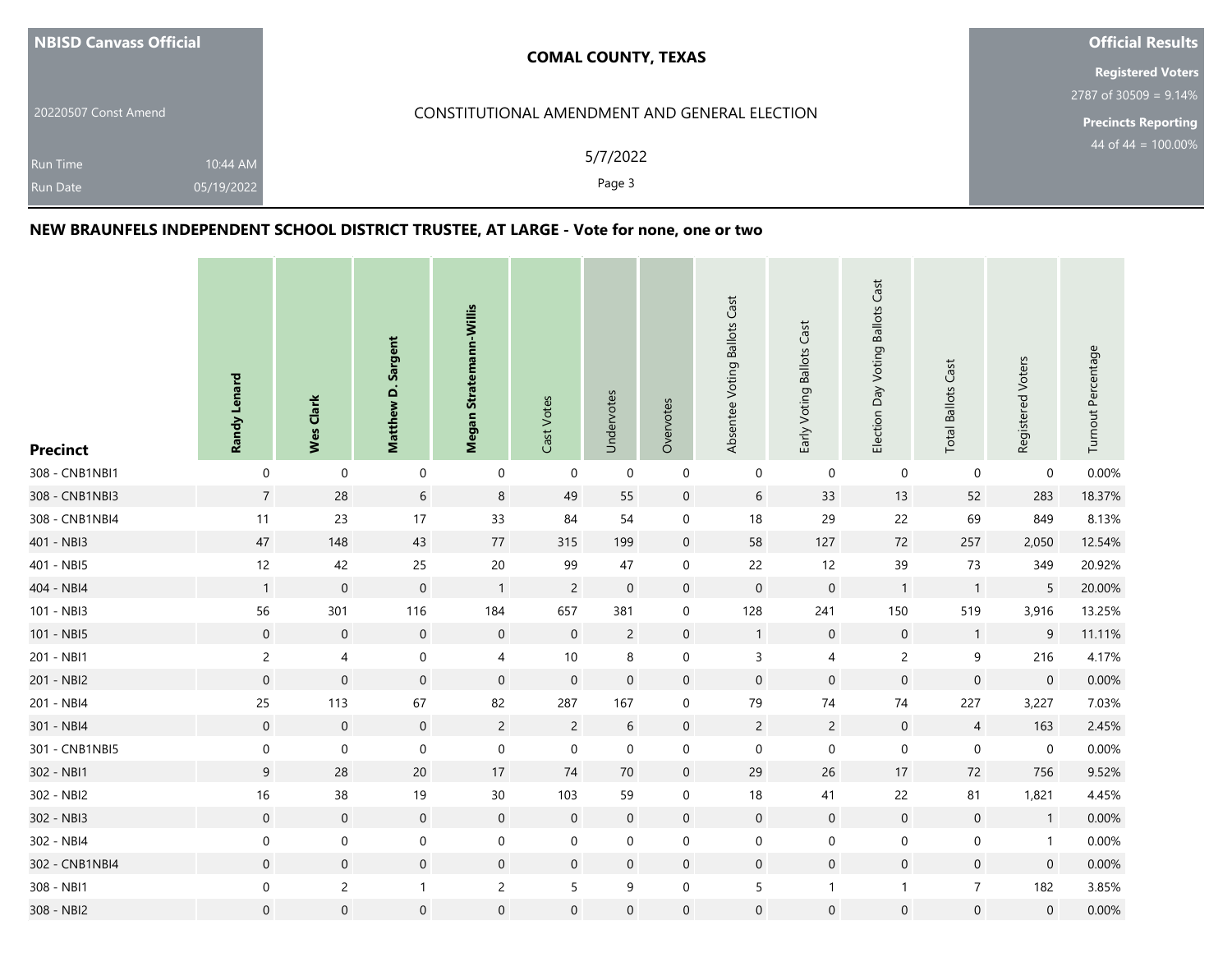| NBISD Canvass Official                                       | <b>COMAL COUNTY, TEXAS</b>                    | <b>Official Results</b>    |
|--------------------------------------------------------------|-----------------------------------------------|----------------------------|
|                                                              |                                               | <b>Registered Voters</b>   |
|                                                              |                                               | $2787$ of 30509 = 9.14%    |
| 20220507 Const Amend                                         | CONSTITUTIONAL AMENDMENT AND GENERAL ELECTION | <b>Precincts Reporting</b> |
| 10:44 AM<br><b>Run Time</b><br>05/19/2022<br><b>Run Date</b> | 5/7/2022<br>Page 3                            | 44 of 44 = $100.00\%$      |

## **NEW BRAUNFELS INDEPENDENT SCHOOL DISTRICT TRUSTEE, AT LARGE - Vote for none, one or two**

| <b>Precinct</b> | Randy Lenard     | Wes Clark        | Matthew D. Sargent | Megan Stratemann-Willis | Cast Votes       | Undervotes       | Overvotes           | Absentee Voting Ballots Cast | Early Voting Ballots Cast | Election Day Voting Ballots Cast | <b>Total Ballots Cast</b> | Registered Voters | Turnout Percentage |
|-----------------|------------------|------------------|--------------------|-------------------------|------------------|------------------|---------------------|------------------------------|---------------------------|----------------------------------|---------------------------|-------------------|--------------------|
| 308 - CNB1NBI1  | $\pmb{0}$        | $\mathbf 0$      | $\pmb{0}$          | $\boldsymbol{0}$        | $\pmb{0}$        | $\boldsymbol{0}$ | $\boldsymbol{0}$    | $\mathbf 0$                  | $\pmb{0}$                 | $\mathbf 0$                      | $\mathbf 0$               | $\mathbf 0$       | 0.00%              |
| 308 - CNB1NBI3  | $\overline{7}$   | 28               | $6\phantom{.0}$    | $\bf 8$                 | 49               | 55               | $\mathbf 0$         | $\sqrt{6}$                   | 33                        | 13                               | 52                        | 283               | 18.37%             |
| 308 - CNB1NBI4  | 11               | 23               | 17                 | 33                      | 84               | 54               | $\boldsymbol{0}$    | 18                           | 29                        | 22                               | 69                        | 849               | 8.13%              |
| 401 - NBI3      | 47               | 148              | 43                 | 77                      | 315              | 199              | $\mathsf{O}\xspace$ | 58                           | 127                       | 72                               | 257                       | 2,050             | 12.54%             |
| 401 - NBI5      | 12               | 42               | 25                 | $20\,$                  | 99               | 47               | $\boldsymbol{0}$    | 22                           | 12                        | 39                               | 73                        | 349               | 20.92%             |
| 404 - NBI4      | $\mathbf{1}$     | $\,0\,$          | $\mathbf 0$        | $\mathbf{1}$            | $\overline{c}$   | $\mathbf 0$      | $\mathbf 0$         | $\pmb{0}$                    | $\,0\,$                   | $\overline{1}$                   | $\mathbf{1}$              | 5                 | 20.00%             |
| 101 - NBI3      | 56               | 301              | 116                | 184                     | 657              | 381              | $\mathbf 0$         | 128                          | 241                       | 150                              | 519                       | 3,916             | 13.25%             |
| 101 - NBI5      | $\boldsymbol{0}$ | $\mathbf 0$      | $\mathbf 0$        | $\boldsymbol{0}$        | $\boldsymbol{0}$ | $\overline{c}$   | $\boldsymbol{0}$    | $\overline{1}$               | $\boldsymbol{0}$          | $\boldsymbol{0}$                 | $\mathbf{1}$              | $\boldsymbol{9}$  | 11.11%             |
| 201 - NBI1      | $\overline{c}$   | $\pmb{4}$        | $\mathbf 0$        | $\overline{4}$          | $10\,$           | 8                | $\mathbf 0$         | $\mathsf 3$                  | $\pmb{4}$                 | $\mathsf{2}\,$                   | $\boldsymbol{9}$          | 216               | 4.17%              |
| 201 - NBI2      | $\boldsymbol{0}$ | $\boldsymbol{0}$ | $\mathbf 0$        | $\boldsymbol{0}$        | $\mathbf 0$      | $\mathbf 0$      | $\mathbf 0$         | $\mathsf{O}\xspace$          | $\mathbf 0$               | $\mathbf 0$                      | $\mathsf{O}\xspace$       | $\mathbf 0$       | 0.00%              |
| 201 - NBI4      | 25               | 113              | 67                 | 82                      | 287              | 167              | $\boldsymbol{0}$    | 79                           | 74                        | 74                               | 227                       | 3,227             | 7.03%              |
| 301 - NBI4      | $\boldsymbol{0}$ | $\mathbf 0$      | $\overline{0}$     | $\overline{c}$          | $\overline{c}$   | $6\,$            | $\mathbf 0$         | $\overline{c}$               | $\overline{c}$            | $\mathbf 0$                      | $\overline{4}$            | 163               | 2.45%              |
| 301 - CNB1NBI5  | $\boldsymbol{0}$ | $\mathbf 0$      | $\mathbf 0$        | $\boldsymbol{0}$        | $\mathbf 0$      | $\mathbf 0$      | $\mathbf 0$         | $\boldsymbol{0}$             | $\boldsymbol{0}$          | $\pmb{0}$                        | $\mathbf 0$               | $\mathbf 0$       | 0.00%              |
| 302 - NBI1      | $\mathsf 9$      | 28               | $20\,$             | 17                      | $74$             | 70               | $\boldsymbol{0}$    | 29                           | 26                        | 17                               | 72                        | 756               | 9.52%              |
| 302 - NBI2      | $16\,$           | 38               | 19                 | $30\,$                  | 103              | 59               | $\mathbf 0$         | 18                           | $41\,$                    | 22                               | 81                        | 1,821             | 4.45%              |
| 302 - NBI3      | $\mathbf 0$      | $\mathbf 0$      | $\mathbf 0$        | $\mathbf 0$             | $\mathbf 0$      | $\mathbf 0$      | $\boldsymbol{0}$    | $\boldsymbol{0}$             | $\boldsymbol{0}$          | $\boldsymbol{0}$                 | $\boldsymbol{0}$          | $\mathbf{1}$      | 0.00%              |
| 302 - NBI4      | $\boldsymbol{0}$ | $\boldsymbol{0}$ | $\boldsymbol{0}$   | $\mathbf 0$             | $\mathbf 0$      | $\mathbf 0$      | $\pmb{0}$           | $\boldsymbol{0}$             | $\boldsymbol{0}$          | $\mbox{O}$                       | $\pmb{0}$                 | $\mathbf{1}$      | 0.00%              |
| 302 - CNB1NBI4  | $\boldsymbol{0}$ | $\mathbf 0$      | $\mathbf 0$        | $\pmb{0}$               | $\mathbf 0$      | $\mathbf 0$      | $\mathbf 0$         | $\boldsymbol{0}$             | $\mathbf 0$               | $\boldsymbol{0}$                 | $\mathbf 0$               | $\mathbf 0$       | 0.00%              |
| 308 - NBI1      | $\boldsymbol{0}$ | $\overline{c}$   | $\mathbf{1}$       | $\overline{c}$          | 5                | 9                | $\boldsymbol{0}$    | 5                            | $\mathbf{1}$              | $\mathbf{1}$                     | $\overline{7}$            | 182               | 3.85%              |
| 308 - NBI2      | $\boldsymbol{0}$ | $\boldsymbol{0}$ | $\mathbf{0}$       | $\boldsymbol{0}$        | $\mathbf 0$      | $\mathbf 0$      | $\mathbf 0$         | $\boldsymbol{0}$             | $\boldsymbol{0}$          | $\mathsf{O}\xspace$              | $\mathsf{O}\xspace$       | $\mathbf 0$       | 0.00%              |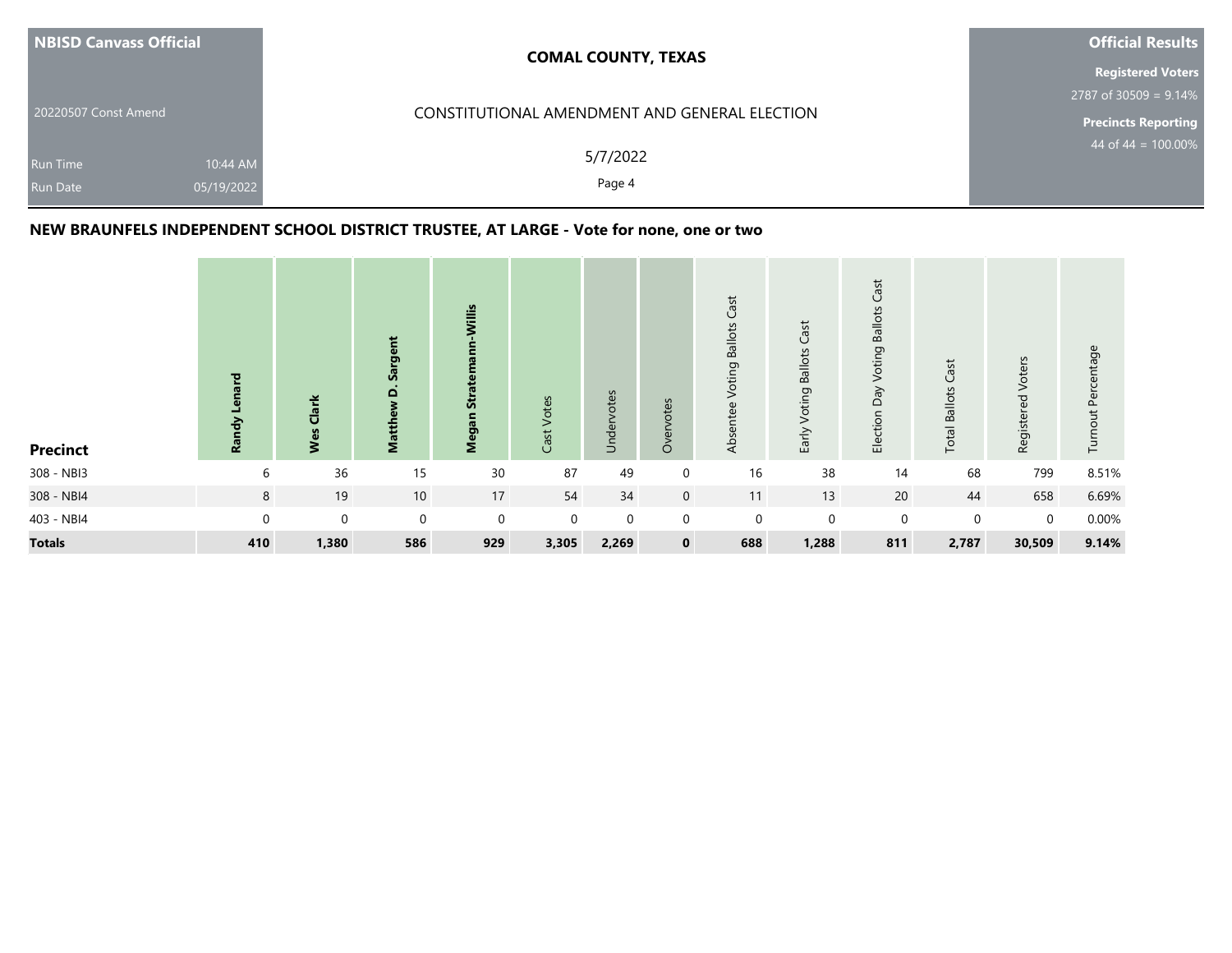| NBISD Canvass Official                                       | <b>COMAL COUNTY, TEXAS</b>                    | <b>Official Results</b>  |
|--------------------------------------------------------------|-----------------------------------------------|--------------------------|
|                                                              |                                               | <b>Registered Voters</b> |
|                                                              |                                               | $2787$ of 30509 = 9.14%  |
| 20220507 Const Amend                                         | CONSTITUTIONAL AMENDMENT AND GENERAL ELECTION | Precincts Reporting      |
| 10:44 AM<br><b>Run Time</b><br>05/19/2022<br><b>Run Date</b> | 5/7/2022<br>Page 4                            | 44 of 44 = $100.00\%$    |

## **NEW BRAUNFELS INDEPENDENT SCHOOL DISTRICT TRUSTEE, AT LARGE - Vote for none, one or two**

| <b>Precinct</b> | 짇<br>ē<br>ηáγ<br><u>la</u> | Clark<br>Wes | rgent<br>ື້ຈ<br>Matthew D. | Willis<br>Stra<br>Megan | Votes<br>Cast | Undervotes  | Overvotes      | Cast<br><b>Ballots</b><br>Voting<br>Absentee | Cast<br>Voting Ballots<br>Early | Cast<br><b>Voting Ballots</b><br>Election Day | Cast<br><b>Total Ballots</b> | Registered Voters | Turnout Percentage |
|-----------------|----------------------------|--------------|----------------------------|-------------------------|---------------|-------------|----------------|----------------------------------------------|---------------------------------|-----------------------------------------------|------------------------------|-------------------|--------------------|
| 308 - NBI3      | 6                          | 36           | 15                         | $30\,$                  | 87            | 49          | $\mathbf 0$    | 16                                           | 38                              | 14                                            | 68                           | 799               | 8.51%              |
| 308 - NBI4      | 8                          | 19           | 10                         | 17                      | 54            | 34          | $\overline{0}$ | 11                                           | 13                              | 20                                            | 44                           | 658               | 6.69%              |
| 403 - NBI4      | $\mathbf 0$                | $\mathbf 0$  | $\mathbf 0$                | $\mathbf 0$             | $\Omega$      | $\mathbf 0$ | $\mathbf 0$    | $\mathbf 0$                                  | $\mathbf 0$                     | $\mathbf 0$                                   | $\mathbf 0$                  | $\mathbf 0$       | 0.00%              |
| <b>Totals</b>   | 410                        | 1,380        | 586                        | 929                     | 3,305         | 2,269       | $\mathbf{0}$   | 688                                          | 1,288                           | 811                                           | 2,787                        | 30,509            | 9.14%              |